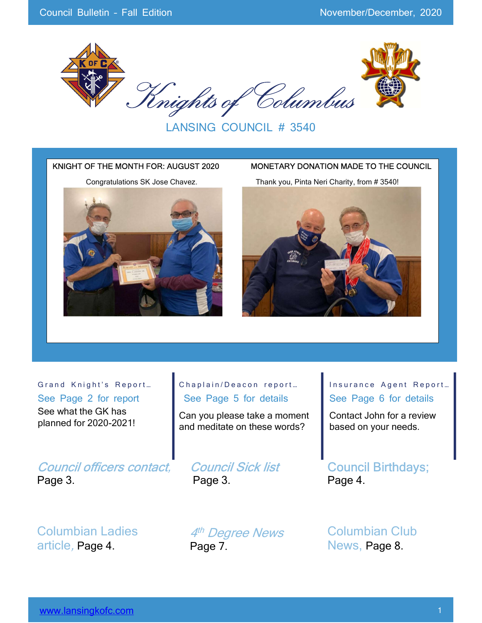

LANSING COUNCIL # 3540



Grand Knight's Report... See Page 2 for report

See what the GK has planned for 2020-2021!

Council officers contact, Page 3.

Columbian Ladies article, Page 4.

#### Chaplain/Deacon report... See Page 5 for details

Can you please take a moment and meditate on these words?

Council Sick list Page 3.

Insurance Agent Report... See Page 6 for details

Contact John for a review based on your needs.

Council Birthdays; Page 4.

4th Degree News Page 7.

Columbian Club News, Page 8.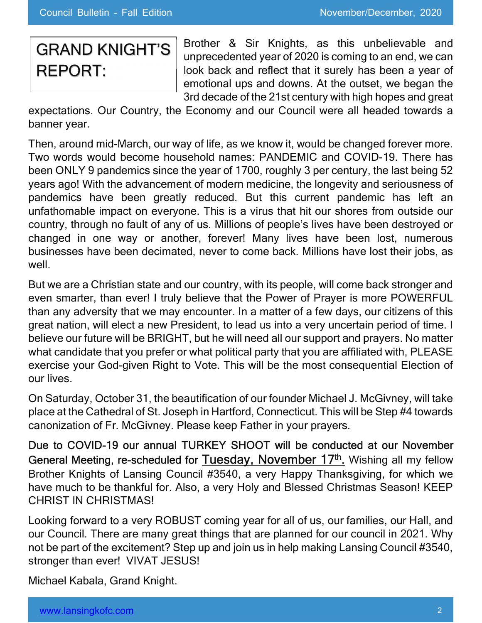# GRAND KNIGHT'S REPORT:

Brother & Sir Knights, as this unbelievable and unprecedented year of 2020 is coming to an end, we can look back and reflect that it surely has been a year of emotional ups and downs. At the outset, we began the 3rd decade of the 21st century with high hopes and great

expectations. Our Country, the Economy and our Council were all headed towards a banner year.

Then, around mid-March, our way of life, as we know it, would be changed forever more. Two words would become household names: PANDEMIC and COVID-19. There has been ONLY 9 pandemics since the year of 1700, roughly 3 per century, the last being 52 years ago! With the advancement of modern medicine, the longevity and seriousness of pandemics have been greatly reduced. But this current pandemic has left an unfathomable impact on everyone. This is a virus that hit our shores from outside our country, through no fault of any of us. Millions of people's lives have been destroyed or changed in one way or another, forever! Many lives have been lost, numerous businesses have been decimated, never to come back. Millions have lost their jobs, as well.

But we are a Christian state and our country, with its people, will come back stronger and even smarter, than ever! I truly believe that the Power of Prayer is more POWERFUL than any adversity that we may encounter. In a matter of a few days, our citizens of this great nation, will elect a new President, to lead us into a very uncertain period of time. I believe our future will be BRIGHT, but he will need all our support and prayers. No matter what candidate that you prefer or what political party that you are affiliated with, PLEASE exercise your God-given Right to Vote. This will be the most consequential Election of our lives.

On Saturday, October 31, the beautification of our founder Michael J. McGivney, will take place at the Cathedral of St. Joseph in Hartford, Connecticut. This will be Step #4 towards canonization of Fr. McGivney. Please keep Father in your prayers.

Due to COVID-19 our annual TURKEY SHOOT will be conducted at our November General Meeting, re-scheduled for Tuesday, November 17<sup>th</sup>. Wishing all my fellow Brother Knights of Lansing Council #3540, a very Happy Thanksgiving, for which we have much to be thankful for. Also, a very Holy and Blessed Christmas Season! KEEP CHRIST IN CHRISTMAS!

Looking forward to a very ROBUST coming year for all of us, our families, our Hall, and our Council. There are many great things that are planned for our council in 2021. Why not be part of the excitement? Step up and join us in help making Lansing Council #3540, stronger than ever! VIVAT JESUS!

Michael Kabala, Grand Knight.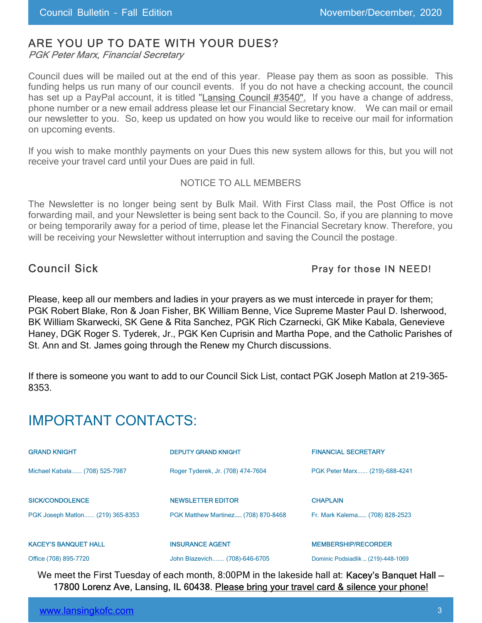### ARE YOU UP TO DATE WITH YOUR DUES?

PGK Peter Marx, Financial Secretary

Council dues will be mailed out at the end of this year. Please pay them as soon as possible. This funding helps us run many of our council events. If you do not have a checking account, the council has set up a PayPal account, it is titled "Lansing Council #3540". If you have a change of address, phone number or a new email address please let our Financial Secretary know. We can mail or email our newsletter to you. So, keep us updated on how you would like to receive our mail for information on upcoming events.

If you wish to make monthly payments on your Dues this new system allows for this, but you will not receive your travel card until your Dues are paid in full.

#### NOTICE TO ALL MEMBERS

The Newsletter is no longer being sent by Bulk Mail. With First Class mail, the Post Office is not forwarding mail, and your Newsletter is being sent back to the Council. So, if you are planning to move or being temporarily away for a period of time, please let the Financial Secretary know. Therefore, you will be receiving your Newsletter without interruption and saving the Council the postage.

#### Council Sick **Pray for those IN NEED!**

Please, keep all our members and ladies in your prayers as we must intercede in prayer for them; PGK Robert Blake, Ron & Joan Fisher, BK William Benne, Vice Supreme Master Paul D. Isherwood, BK William Skarwecki, SK Gene & Rita Sanchez, PGK Rich Czarnecki, GK Mike Kabala, Genevieve Haney, DGK Roger S. Tyderek, Jr., PGK Ken Cuprisin and Martha Pope, and the Catholic Parishes of St. Ann and St. James going through the Renew my Church discussions.

If there is someone you want to add to our Council Sick List, contact PGK Joseph Matlon at 219-365- 8353.

# IMPORTANT CONTACTS:

| <b>GRAND KNIGHT</b>              | <b>DEPUTY GRAND KNIGHT</b>          | <b>FINANCIAL SECRETARY</b>     |
|----------------------------------|-------------------------------------|--------------------------------|
| Michael Kabala (708) 525-7987    | Roger Tyderek, Jr. (708) 474-7604   | PGK Peter Marx (219)-688-4241  |
| <b>SICK/CONDOLENCE</b>           | <b>NEWSLETTER EDITOR</b>            | <b>CHAPLAIN</b>                |
| PGK Joseph Matlon (219) 365-8353 | PGK Matthew Martinez (708) 870-8468 | Fr. Mark Kalema (708) 828-2523 |
| <b>KACEY'S BANQUET HALL</b>      | <b>INSURANCE AGENT</b>              | <b>MEMBERSHIP/RECORDER</b>     |

Office (708) 895-7720 John Blazevich....... (708)-646-6705 Dominic Podsiadlik … (219)-448-1069

We meet the First Tuesday of each month, 8:00PM in the lakeside hall at: Kacey's Banquet Hall -17800 Lorenz Ave, Lansing, IL 60438. Please bring your travel card & silence your phone!

| www.lansingkofc.com |  |
|---------------------|--|
|                     |  |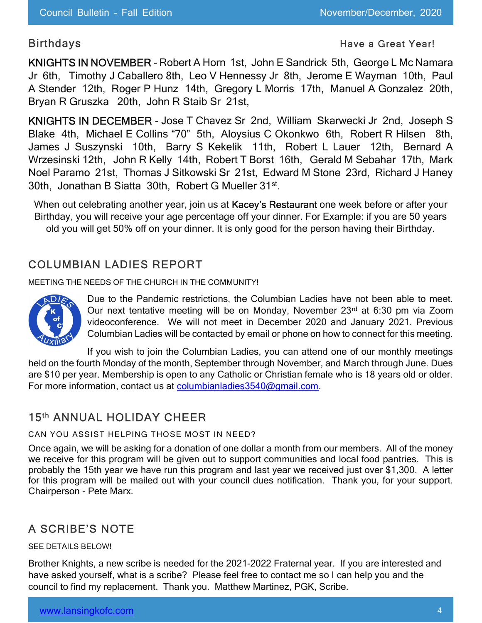#### Birthdays **Have a Great Year!** All the Birthdays **Have a Great Year!**

KNIGHTS IN NOVEMBER - Robert A Horn 1st, John E Sandrick 5th, George L Mc Namara Jr 6th, Timothy J Caballero 8th, Leo V Hennessy Jr 8th, Jerome E Wayman 10th, Paul A Stender 12th, Roger P Hunz 14th, Gregory L Morris 17th, Manuel A Gonzalez 20th, Bryan R Gruszka 20th, John R Staib Sr 21st,

KNIGHTS IN DECEMBER - Jose T Chavez Sr 2nd, William Skarwecki Jr 2nd, Joseph S Blake 4th, Michael E Collins "70" 5th, Aloysius C Okonkwo 6th, Robert R Hilsen 8th, James J Suszynski 10th, Barry S Kekelik 11th, Robert L Lauer 12th, Bernard A Wrzesinski 12th, John R Kelly 14th, Robert T Borst 16th, Gerald M Sebahar 17th, Mark Noel Paramo 21st, Thomas J Sitkowski Sr 21st, Edward M Stone 23rd, Richard J Haney 30th, Jonathan B Siatta 30th, Robert G Mueller 31st .

When out celebrating another year, join us at Kacey's Restaurant one week before or after your Birthday, you will receive your age percentage off your dinner. For Example: if you are 50 years old you will get 50% off on your dinner. It is only good for the person having their Birthday.

#### COLUMBIAN LADIES REPORT

MEETING THE NEEDS OF THE CHURCH IN THE COMMUNITY!



Due to the Pandemic restrictions, the Columbian Ladies have not been able to meet. Our next tentative meeting will be on Monday, November 23rd at 6:30 pm via Zoom videoconference. We will not meet in December 2020 and January 2021. Previous Columbian Ladies will be contacted by email or phone on how to connect for this meeting.

If you wish to join the Columbian Ladies, you can attend one of our monthly meetings held on the fourth Monday of the month, September through November, and March through June. Dues are \$10 per year. Membership is open to any Catholic or Christian female who is 18 years old or older. For more information, contact us at columbianladies 3540@gmail.com.

#### 15th ANNUAL HOLIDAY CHEER

CAN YOU ASSIST HELPING THOSE MOST IN NEED?

Once again, we will be asking for a donation of one dollar a month from our members. All of the money we receive for this program will be given out to support communities and local food pantries. This is probably the 15th year we have run this program and last year we received just over \$1,300. A letter for this program will be mailed out with your council dues notification. Thank you, for your support. Chairperson - Pete Marx.

### A SCRIBE'S NOTE

SEE DETAILS BELOW!

Brother Knights, a new scribe is needed for the 2021-2022 Fraternal year. If you are interested and have asked yourself, what is a scribe? Please feel free to contact me so I can help you and the council to find my replacement. Thank you. Matthew Martinez, PGK, Scribe.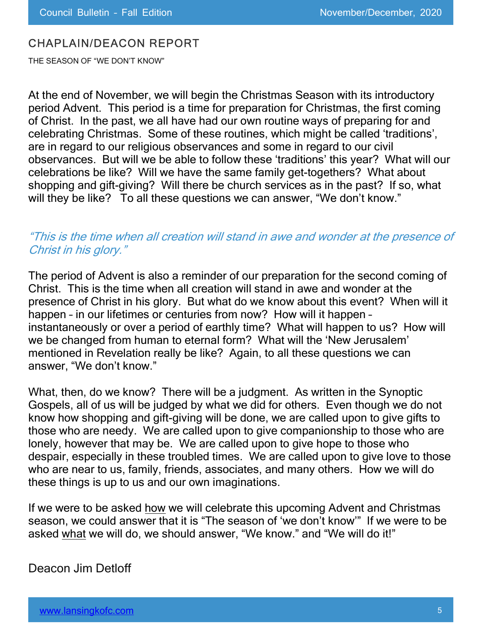#### CHAPLAIN/DEACON REPORT

THE SEASON OF "WE DON'T KNOW"

At the end of November, we will begin the Christmas Season with its introductory period Advent. This period is a time for preparation for Christmas, the first coming of Christ. In the past, we all have had our own routine ways of preparing for and celebrating Christmas. Some of these routines, which might be called 'traditions', are in regard to our religious observances and some in regard to our civil observances. But will we be able to follow these 'traditions' this year? What will our celebrations be like? Will we have the same family get-togethers? What about shopping and gift-giving? Will there be church services as in the past? If so, what will they be like? To all these questions we can answer, "We don't know."

#### "This is the time when all creation will stand in awe and wonder at the presence of Christ in his glory."

The period of Advent is also a reminder of our preparation for the second coming of Christ. This is the time when all creation will stand in awe and wonder at the presence of Christ in his glory. But what do we know about this event? When will it happen – in our lifetimes or centuries from now? How will it happen – instantaneously or over a period of earthly time? What will happen to us? How will we be changed from human to eternal form? What will the 'New Jerusalem' mentioned in Revelation really be like? Again, to all these questions we can answer, "We don't know."

What, then, do we know? There will be a judgment. As written in the Synoptic Gospels, all of us will be judged by what we did for others. Even though we do not know how shopping and gift-giving will be done, we are called upon to give gifts to those who are needy. We are called upon to give companionship to those who are lonely, however that may be. We are called upon to give hope to those who despair, especially in these troubled times. We are called upon to give love to those who are near to us, family, friends, associates, and many others. How we will do these things is up to us and our own imaginations.

If we were to be asked how we will celebrate this upcoming Advent and Christmas season, we could answer that it is "The season of 'we don't know'" If we were to be asked what we will do, we should answer, "We know." and "We will do it!"

#### Deacon Jim Detloff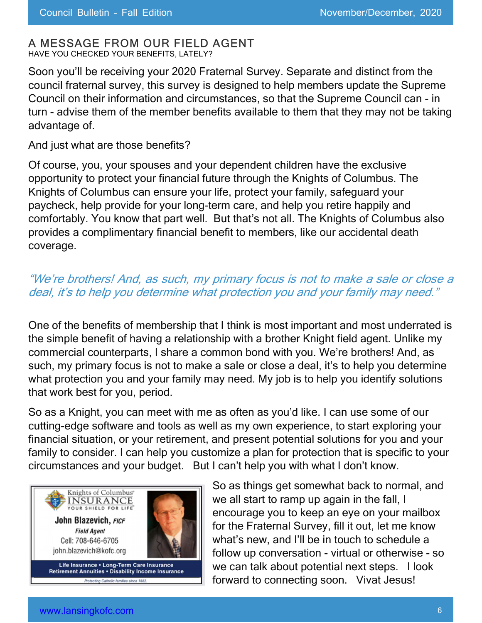#### A MESSAGE FROM OUR FIELD AGENT

HAVE YOU CHECKED YOUR BENEFITS, LATELY?

Soon you'll be receiving your 2020 Fraternal Survey. Separate and distinct from the council fraternal survey, this survey is designed to help members update the Supreme Council on their information and circumstances, so that the Supreme Council can - in turn - advise them of the member benefits available to them that they may not be taking advantage of.

And just what are those benefits?

Of course, you, your spouses and your dependent children have the exclusive opportunity to protect your financial future through the Knights of Columbus. The Knights of Columbus can ensure your life, protect your family, safeguard your paycheck, help provide for your long-term care, and help you retire happily and comfortably. You know that part well. But that's not all. The Knights of Columbus also provides a complimentary financial benefit to members, like our accidental death coverage.

### "We're brothers! And, as such, my primary focus is not to make a sale or close a deal, it's to help you determine what protection you and your family may need."

One of the benefits of membership that I think is most important and most underrated is the simple benefit of having a relationship with a brother Knight field agent. Unlike my commercial counterparts, I share a common bond with you. We're brothers! And, as such, my primary focus is not to make a sale or close a deal, it's to help you determine what protection you and your family may need. My job is to help you identify solutions that work best for you, period.

So as a Knight, you can meet with me as often as you'd like. I can use some of our cutting-edge software and tools as well as my own experience, to start exploring your financial situation, or your retirement, and present potential solutions for you and your family to consider. I can help you customize a plan for protection that is specific to your circumstances and your budget. But I can't help you with what I don't know.



So as things get somewhat back to normal, and we all start to ramp up again in the fall, I encourage you to keep an eye on your mailbox for the Fraternal Survey, fill it out, let me know what's new, and I'll be in touch to schedule a follow up conversation - virtual or otherwise - so we can talk about potential next steps. I look forward to connecting soon. Vivat Jesus!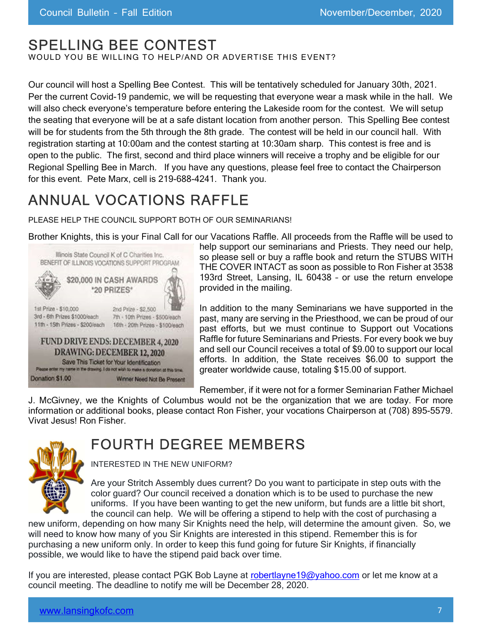# SPELLING BEE CONTEST

WOULD YOU BE WILLING TO HELP/AND OR ADVERTISE THIS EVENT?

Our council will host a Spelling Bee Contest. This will be tentatively scheduled for January 30th, 2021. Per the current Covid-19 pandemic, we will be requesting that everyone wear a mask while in the hall. We will also check everyone's temperature before entering the Lakeside room for the contest. We will setup the seating that everyone will be at a safe distant location from another person. This Spelling Bee contest will be for students from the 5th through the 8th grade. The contest will be held in our council hall. With registration starting at 10:00am and the contest starting at 10:30am sharp. This contest is free and is open to the public. The first, second and third place winners will receive a trophy and be eligible for our Regional Spelling Bee in March. If you have any questions, please feel free to contact the Chairperson for this event. Pete Marx, cell is 219-688-4241. Thank you.

# ANNUAL VOCATIONS RAFFLE

PLEASE HELP THE COUNCIL SUPPORT BOTH OF OUR SEMINARIANS!

Brother Knights, this is your Final Call for our Vacations Raffle. All proceeds from the Raffle will be used to



help support our seminarians and Priests. They need our help, so please sell or buy a raffle book and return the STUBS WITH THE COVER INTACT as soon as possible to Ron Fisher at 3538 193rd Street, Lansing, IL 60438 – or use the return envelope provided in the mailing.

In addition to the many Seminarians we have supported in the past, many are serving in the Priesthood, we can be proud of our past efforts, but we must continue to Support out Vocations Raffle for future Seminarians and Priests. For every book we buy and sell our Council receives a total of \$9.00 to support our local efforts. In addition, the State receives \$6.00 to support the greater worldwide cause, totaling \$15.00 of support.

Remember, if it were not for a former Seminarian Father Michael

J. McGivney, we the Knights of Columbus would not be the organization that we are today. For more information or additional books, please contact Ron Fisher, your vocations Chairperson at (708) 895-5579. Vivat Jesus! Ron Fisher.

# FOURTH DEGREE MEMBERS

INTERESTED IN THE NEW UNIFORM?

Are your Stritch Assembly dues current? Do you want to participate in step outs with the color guard? Our council received a donation which is to be used to purchase the new uniforms. If you have been wanting to get the new uniform, but funds are a little bit short, the council can help. We will be offering a stipend to help with the cost of purchasing a

new uniform, depending on how many Sir Knights need the help, will determine the amount given. So, we will need to know how many of you Sir Knights are interested in this stipend. Remember this is for purchasing a new uniform only. In order to keep this fund going for future Sir Knights, if financially possible, we would like to have the stipend paid back over time.

If you are interested, please contact PGK Bob Layne at robertlayne19@yahoo.com or let me know at a council meeting. The deadline to notify me will be December 28, 2020.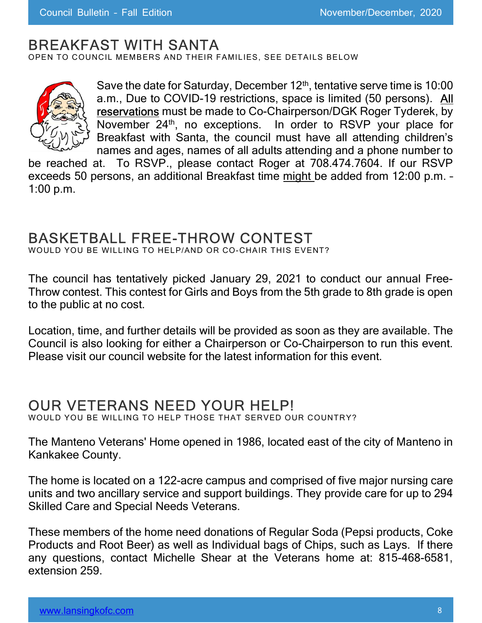## BREAKFAST WITH SANTA

OPEN TO COUNCIL MEMBERS AND THEIR FAMILIES, SEE DETAILS BELOW



Save the date for Saturday, December  $12<sup>th</sup>$ , tentative serve time is 10:00 a.m., Due to COVID-19 restrictions, space is limited (50 persons). All reservations must be made to Co-Chairperson/DGK Roger Tyderek, by November 24<sup>th</sup>, no exceptions. In order to RSVP your place for Breakfast with Santa, the council must have all attending children's names and ages, names of all adults attending and a phone number to

be reached at. To RSVP., please contact Roger at 708.474.7604. If our RSVP exceeds 50 persons, an additional Breakfast time might be added from 12:00 p.m. – 1:00 p.m.

# BASKETBALL FREE-THROW CONTEST

WOULD YOU BE WILLING TO HELP/AND OR CO-CHAIR THIS EVENT?

The council has tentatively picked January 29, 2021 to conduct our annual Free-Throw contest. This contest for Girls and Boys from the 5th grade to 8th grade is open to the public at no cost.

Location, time, and further details will be provided as soon as they are available. The Council is also looking for either a Chairperson or Co-Chairperson to run this event. Please visit our council website for the latest information for this event.

## OUR VETERANS NEED YOUR HELP!

WOULD YOU BE WILLING TO HELP THOSE THAT SERVED OUR COUNTRY?

The Manteno Veterans' Home opened in 1986, located east of the city of Manteno in Kankakee County.

The home is located on a 122-acre campus and comprised of five major nursing care units and two ancillary service and support buildings. They provide care for up to 294 Skilled Care and Special Needs Veterans.

These members of the home need donations of Regular Soda (Pepsi products, Coke Products and Root Beer) as well as Individual bags of Chips, such as Lays. If there any questions, contact Michelle Shear at the Veterans home at: 815-468-6581, extension 259.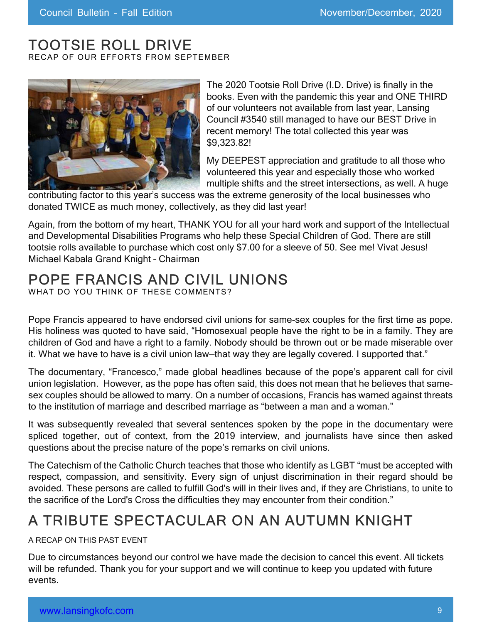# TOOTSIE ROLL DRIVE

RECAP OF OUR EFFORTS FROM SEPTEMBER



The 2020 Tootsie Roll Drive (I.D. Drive) is finally in the books. Even with the pandemic this year and ONE THIRD of our volunteers not available from last year, Lansing Council #3540 still managed to have our BEST Drive in recent memory! The total collected this year was \$9,323.82!

My DEEPEST appreciation and gratitude to all those who volunteered this year and especially those who worked multiple shifts and the street intersections, as well. A huge

contributing factor to this year's success was the extreme generosity of the local businesses who donated TWICE as much money, collectively, as they did last year!

Again, from the bottom of my heart, THANK YOU for all your hard work and support of the Intellectual and Developmental Disabilities Programs who help these Special Children of God. There are still tootsie rolls available to purchase which cost only \$7.00 for a sleeve of 50. See me! Vivat Jesus! Michael Kabala Grand Knight – Chairman

# POPE FRANCIS AND CIVIL UNIONS

WHAT DO YOU THINK OF THESE COMMENTS?

Pope Francis appeared to have endorsed civil unions for same-sex couples for the first time as pope. His holiness was quoted to have said, "Homosexual people have the right to be in a family. They are children of God and have a right to a family. Nobody should be thrown out or be made miserable over it. What we have to have is a civil union law-that way they are legally covered. I supported that."

The documentary, "Francesco," made global headlines because of the pope's apparent call for civil union legislation. However, as the pope has often said, this does not mean that he believes that samesex couples should be allowed to marry. On a number of occasions, Francis has warned against threats to the institution of marriage and described marriage as "between a man and a woman."

It was subsequently revealed that several sentences spoken by the pope in the documentary were spliced together, out of context, from the 2019 interview, and journalists have since then asked questions about the precise nature of the pope's remarks on civil unions.

The Catechism of the Catholic Church teaches that those who identify as LGBT "must be accepted with respect, compassion, and sensitivity. Every sign of unjust discrimination in their regard should be avoided. These persons are called to fulfill God's will in their lives and, if they are Christians, to unite to the sacrifice of the Lord's Cross the difficulties they may encounter from their condition."

# A TRIBUTE SPECTACULAR ON AN AUTUMN KNIGHT

#### A RECAP ON THIS PAST EVENT

Due to circumstances beyond our control we have made the decision to cancel this event. All tickets will be refunded. Thank you for your support and we will continue to keep you updated with future events.